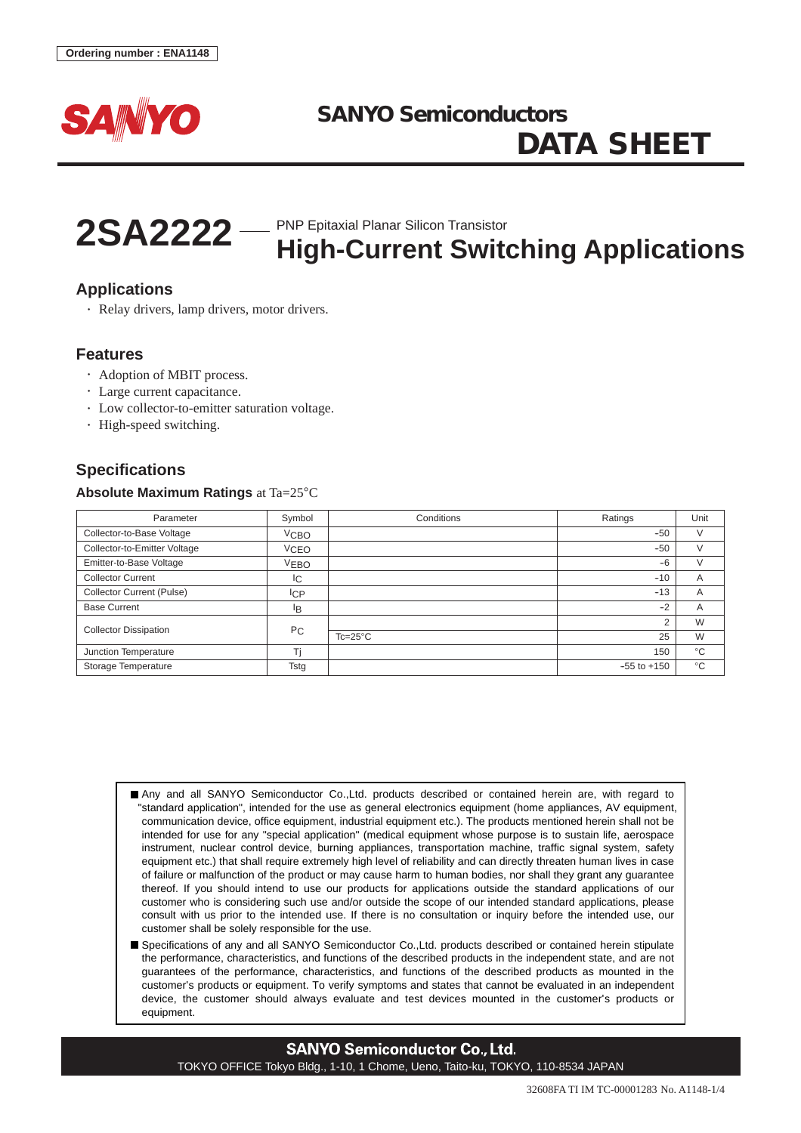



# **2SA2222** — PNP Epitaxial Planar Silicon Transistor<br>
High-Current Switching Applications

# **Applications**

• Relay drivers, lamp drivers, motor drivers.

# **Features**

- Adoption of MBIT process.
- Large current capacitance.
- Low collector-to-emitter saturation voltage.
- High-speed switching.

# **Specifications**

### **Absolute Maximum Ratings** at Ta=25°C

| Parameter                    | Symbol           | Conditions       | Ratings         | Unit         |
|------------------------------|------------------|------------------|-----------------|--------------|
| Collector-to-Base Voltage    | V <sub>CBO</sub> |                  | $-50$           |              |
| Collector-to-Emitter Voltage | <b>VCEO</b>      |                  | $-50$           | V            |
| Emitter-to-Base Voltage      | <b>VEBO</b>      |                  | $-6$            |              |
| <b>Collector Current</b>     | IC.              |                  | $-10$           | A            |
| Collector Current (Pulse)    | IсP              |                  | $-13$           | A            |
| <b>Base Current</b>          | lB.              |                  | $-2$            | A            |
| <b>Collector Dissipation</b> | P <sub>C</sub>   |                  | 2               | W            |
|                              |                  | $Tc=25^{\circ}C$ | 25              | W            |
| Junction Temperature         |                  |                  | 150             | $^{\circ}C$  |
| Storage Temperature          | Tstg             |                  | $-55$ to $+150$ | $^{\circ}$ C |

Any and all SANYO Semiconductor Co.,Ltd. products described or contained herein are, with regard to "standard application", intended for the use as general electronics equipment (home appliances, AV equipment, communication device, office equipment, industrial equipment etc.). The products mentioned herein shall not be intended for use for any "special application" (medical equipment whose purpose is to sustain life, aerospace instrument, nuclear control device, burning appliances, transportation machine, traffic signal system, safety equipment etc.) that shall require extremely high level of reliability and can directly threaten human lives in case of failure or malfunction of the product or may cause harm to human bodies, nor shall they grant any guarantee thereof. If you should intend to use our products for applications outside the standard applications of our customer who is considering such use and/or outside the scope of our intended standard applications, please consult with us prior to the intended use. If there is no consultation or inquiry before the intended use, our customer shall be solely responsible for the use.

Specifications of any and all SANYO Semiconductor Co.,Ltd. products described or contained herein stipulate the performance, characteristics, and functions of the described products in the independent state, and are not guarantees of the performance, characteristics, and functions of the described products as mounted in the customer's products or equipment. To verify symptoms and states that cannot be evaluated in an independent device, the customer should always evaluate and test devices mounted in the customer's products or equipment.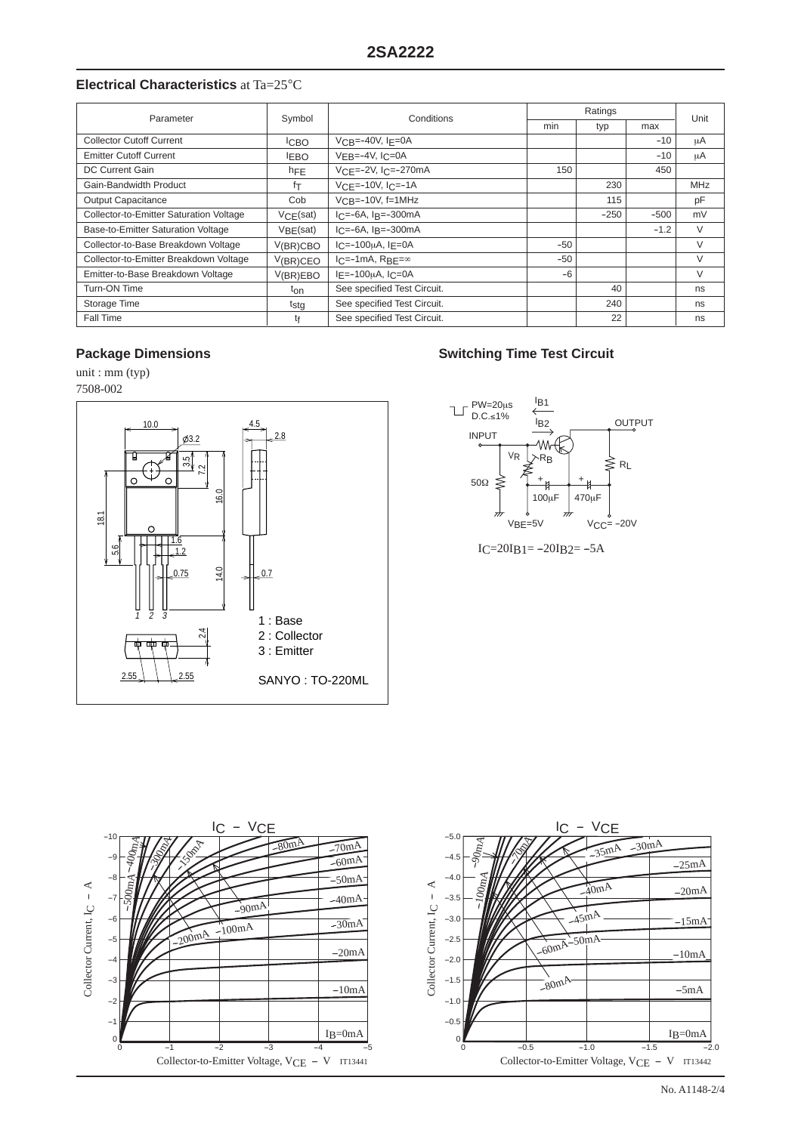# **Electrical Characteristics** at Ta=25°C

| Parameter                               | Symbol           | Conditions                                         | Ratings |        |        | Unit   |
|-----------------------------------------|------------------|----------------------------------------------------|---------|--------|--------|--------|
|                                         |                  |                                                    | min     | typ    | max    |        |
| <b>Collector Cutoff Current</b>         | <b>ICBO</b>      | $VCR = -40V$ , $IF = 0A$                           |         |        | $-10$  | μA     |
| <b>Emitter Cutoff Current</b>           | <b>LEBO</b>      | $VFB=-4V, IC=0A$                                   |         |        | $-10$  | μA     |
| DC Current Gain                         | hFE              | $VCF = -2V$ , $ICF = -270mA$                       | 150     |        | 450    |        |
| Gain-Bandwidth Product                  | fτ               | $VCF=-10V$ , $IC=-1A$                              |         | 230    |        | MHz    |
| <b>Output Capacitance</b>               | Cob              | $VCR = -10V$ , f=1MHz                              |         | 115    |        | pF     |
| Collector-to-Emitter Saturation Voltage | VCF(sat)         | $IC=-6A$ , $IB=-300mA$                             |         | $-250$ | $-500$ | mV     |
| Base-to-Emitter Saturation Voltage      | VBF(sat)         | $I_C = -6A$ , $I_R = -300mA$                       |         |        | $-1.2$ | $\vee$ |
| Collector-to-Base Breakdown Voltage     | V(BR)CBO         | $C=-100\mu$ A, $I_F=0$ A                           | $-50$   |        |        | V      |
| Collector-to-Emitter Breakdown Voltage  | V(BR)CEO         | $I_C = -1mA$ , R <sub>BF=<math>\infty</math></sub> | $-50$   |        |        | V      |
| Emitter-to-Base Breakdown Voltage       | V(BR)EBO         | $I_F = -100 \mu A$ , $I_C = 0A$                    | $-6$    |        |        | V      |
| Turn-ON Time                            | ton              | See specified Test Circuit.                        |         | 40     |        | ns     |
| Storage Time                            | t <sub>stg</sub> | See specified Test Circuit.                        |         | 240    |        | ns     |
| Fall Time                               | tŧ               | See specified Test Circuit.                        |         | 22     |        | ns     |

unit : mm (typ)

7508-002



# **Package Dimensions Community Community Community Community Community Community Community Community Community Community Community Community Community Community Community Community Community Community Community Community Co**



 $IC=20IB1=-20IB2=-5A$ 

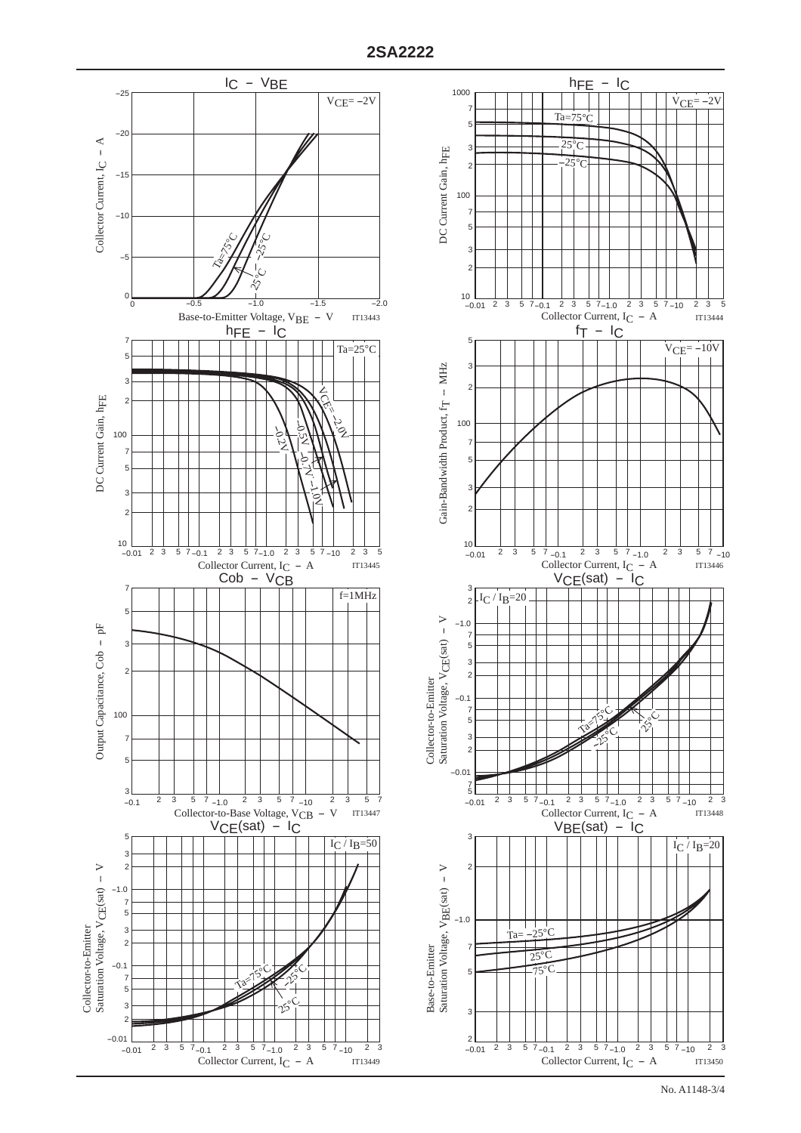